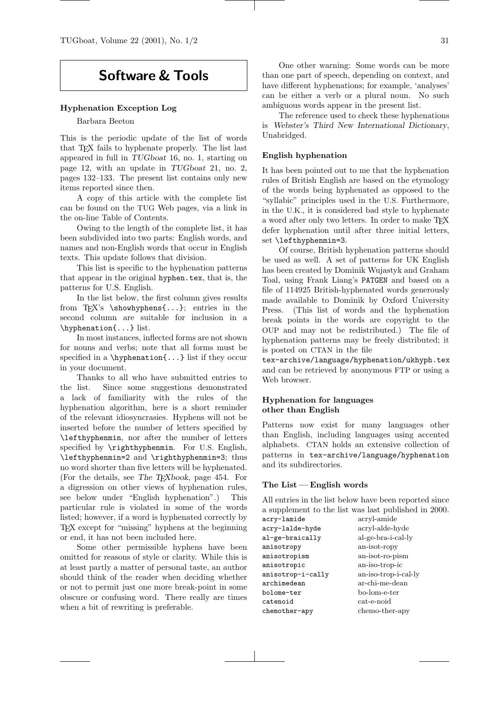# Software & Tools

## Hyphenation Exception Log

#### Barbara Beeton

This is the periodic update of the list of words that TEX fails to hyphenate properly. The list last appeared in full in TUGboat 16, no. 1, starting on page 12, with an update in TUGboat 21, no. 2, pages 132–133. The present list contains only new items reported since then.

A copy of this article with the complete list can be found on the TUG Web pages, via a link in the on-line Table of Contents.

Owing to the length of the complete list, it has been subdivided into two parts: English words, and names and non-English words that occur in English texts. This update follows that division.

This list is specific to the hyphenation patterns that appear in the original hyphen.tex, that is, the patterns for U.S. English.

In the list below, the first column gives results from T<sub>EX</sub>'s \showhyphens{...}; entries in the second column are suitable for inclusion in a \hyphenation{...} list.

In most instances, inflected forms are not shown for nouns and verbs; note that all forms must be specified in a \hyphenation{...} list if they occur in your document.

Thanks to all who have submitted entries to the list. Since some suggestions demonstrated a lack of familiarity with the rules of the hyphenation algorithm, here is a short reminder of the relevant idiosyncrasies. Hyphens will not be inserted before the number of letters specified by \lefthyphenmin, nor after the number of letters specified by \righthyphenmin. For U.S. English, \lefthyphenmin=2 and \righthyphenmin=3; thus no word shorter than five letters will be hyphenated. (For the details, see The TEXbook, page 454. For a digression on other views of hyphenation rules, see below under "English hyphenation".) This particular rule is violated in some of the words listed; however, if a word is hyphenated correctly by TEX except for "missing" hyphens at the beginning or end, it has not been included here.

Some other permissible hyphens have been omitted for reasons of style or clarity. While this is at least partly a matter of personal taste, an author should think of the reader when deciding whether or not to permit just one more break-point in some obscure or confusing word. There really are times when a bit of rewriting is preferable.

One other warning: Some words can be more than one part of speech, depending on context, and have different hyphenations; for example, 'analyses' can be either a verb or a plural noun. No such ambiguous words appear in the present list.

The reference used to check these hyphenations is Webster's Third New International Dictionary, Unabridged.

#### English hyphenation

It has been pointed out to me that the hyphenation rules of British English are based on the etymology of the words being hyphenated as opposed to the "syllabic" principles used in the U.S. Furthermore, in the U.K., it is considered bad style to hyphenate a word after only two letters. In order to make TEX defer hyphenation until after three initial letters, set \lefthyphenmin=3.

Of course, British hyphenation patterns should be used as well. A set of patterns for UK English has been created by Dominik Wujastyk and Graham Toal, using Frank Liang's PATGEN and based on a file of 114925 British-hyphenated words generously made available to Dominik by Oxford University Press. (This list of words and the hyphenation break points in the words are copyright to the OUP and may not be redistributed.) The file of hyphenation patterns may be freely distributed; it is posted on CTAN in the file

tex-archive/language/hyphenation/ukhyph.tex and can be retrieved by anonymous FTP or using a Web browser.

## Hyphenation for languages other than English

Patterns now exist for many languages other than English, including languages using accented alphabets. CTAN holds an extensive collection of patterns in tex-archive/language/hyphenation and its subdirectories.

### The List — English words

All entries in the list below have been reported since a supplement to the list was last published in 2000.<br> $\frac{1}{2}$ acry-lamide acryl-amide

| acry-ramide       | acı yı-alınde        |
|-------------------|----------------------|
| acry-lalde-hyde   | acryl-alde-hyde      |
| al-ge-braically   | al-ge-bra-i-cal-ly   |
| anisotropy        | an-isot-ropy         |
| anisotropism      | an-isot-ro-pism      |
| anisotropic       | an-iso-trop-ic       |
| anisotrop-i-cally | an-iso-trop-i-cal-ly |
| archimedean       | ar-chi-me-dean       |
| bolome-ter        | bo-lom-e-ter         |
| catenoid          | cat-e-noid           |
| chemother-apy     | chemo-ther-apy       |